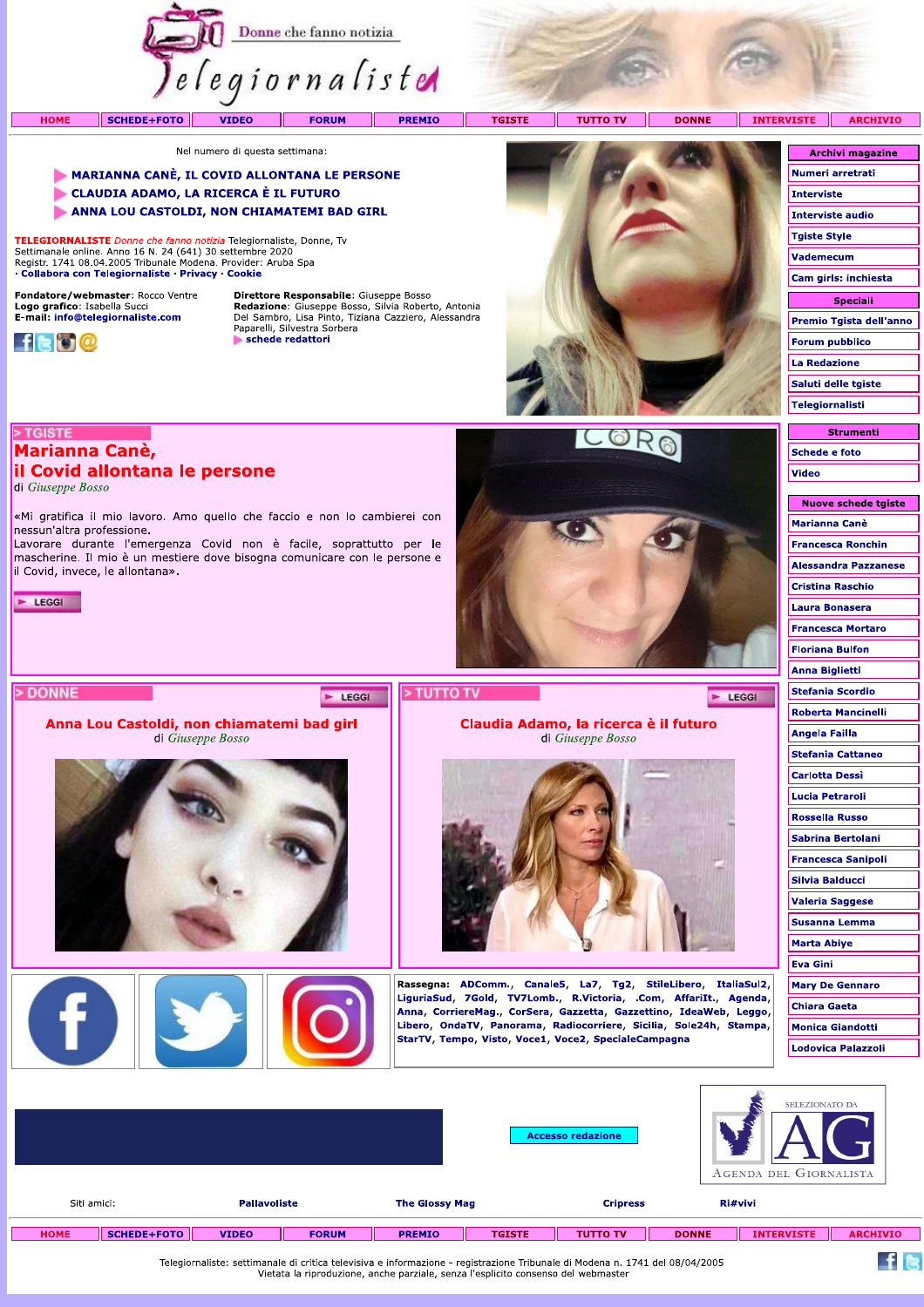

**TGISTE** 

**TUTTO TV** 

**DONNE** 

 $\blacktriangleright$  LEGGI

INTERVISTE ARCHIVIO

Nel numero di questa settimana:

## MARIANNA CANÈ, IL COVID ALLONTANA LE PERSONE

«Mi gratifica il mio lavoro. Amo quello che faccio e non lo cambierei con

Lavorare durante l'emergenza Covid non è facile, soprattutto per le mascherine. Il mio è un mestiere dove bisogna comunicare con le persone e

Anna Lou Castoldi, non chiamatemi bad girl

di Giuseppe Bosso

- CLAUDIA ADAMO, LA RICERCA È IL FUTURO
- ANNA LOU CASTOLDI, NON CHIAMATEMI BAD GIRL

TELEGIORNALISTE Donne che fanno notizia Telegiornaliste, Donne, Tv Settimanale online. Anno 16 N. 24 (641) 30 settembre 2020<br>Registr. 1741 08.04.2005 Tribunale Modena. Provider: Aruba Spa · Collabora con Telegiornaliste · Privacy · Cookie

Fondatore/webmaster: Rocco Ventre Logo grafico: Isabella Succi<br>E-mail: info@telegiornaliste.com



> TGISTE

 $\blacktriangleright$  LEGGI

> DONNE

di Giuseppe Bosso

**Marianna Canè,** 

nessun'altra professione.

il Covid, invece, le allontana».

il Covid allontana le persone

**HOME** 

Direttore Responsabile: Giuseppe Bosso **Redazione:** Giuseppe Bosso, Silvia Roberto, Antonia<br>Del Sambro, Lisa Pinto, Tiziana Cazziero, Alessandra<br>Paparelli, Silvestra Sorbera schede redattori

E LEGGI



Claudia Adamo, la ricerca è il futuro

di Giuseppe Bosso

Rassegna: ADComm., Canale5, La7, Tg2, StileLibero, ItaliaSul2, LiguriaSud, 7Gold, TV7Lomb., R.Victoria, .Com, AffariIt., Agenda, Anna, CorriereMag., CorSera, Gazzetta, Gazzettino, IdeaWeb, Leggo, Libero, OndaTV, Panorama, Radiocorriere, Sicilia, Sole24h, Stampa,

StarTV, Tempo, Visto, Voce1, Voce2, SpecialeCampagna



Strumenti **Schede e foto Video** 

| Nuove schede tgiste         |
|-----------------------------|
| Marianna Canè               |
| Francesca Ronchin           |
| <b>Alessandra Pazzanese</b> |
| Cristina Raschio            |
| Laura Bonasera              |
| <b>Francesca Mortaro</b>    |
| Floriana Bulfon             |
| Anna Biglietti              |
| <b>Stefania Scordio</b>     |
| Roberta Mancinelli          |
| Angela Failla               |
| <b>Stefania Cattaneo</b>    |
| Carlotta Dessì              |
| Lucia Petraroli             |
| <b>Rossella Russo</b>       |
| Sabrina Bertolani           |
| <b>Francesca Sanipoli</b>   |
| Silvia Balducci             |
| <b>Valeria Saggese</b>      |
| <b>Susanna Lemma</b>        |
| Marta Abiye                 |
| Eva Gini                    |
| <b>Mary De Gennaro</b>      |
| <b>Chiara Gaeta</b>         |
| <b>Monica Giandotti</b>     |
| Lodovica Palazzoli          |
|                             |

 $f$  is

|             |             |                     |              |                       |               | <b>Accesso redazione</b> |              | SELEZIONATO DA<br>. .<br>AGENDA DEL GIORNALISTA |                 |
|-------------|-------------|---------------------|--------------|-----------------------|---------------|--------------------------|--------------|-------------------------------------------------|-----------------|
| Siti amici: |             | <b>Pallavoliste</b> |              | <b>The Glossy Mag</b> |               | <b>Cripress</b>          |              | Ri#vivi                                         |                 |
| <b>HOME</b> | SCHEDE+FOTO | <b>VIDEO</b>        | <b>FORUM</b> | <b>PREMIO</b>         | <b>TGISTE</b> | <b>TUTTO TV</b>          | <b>DONNE</b> | <b>INTERVISTE</b>                               | <b>ARCHIVIO</b> |

> TUTTO TV

Telegiornaliste: settimanale di critica televisiva e informazione - registrazione Tribunale di Modena n. 1741 del 08/04/2005<br>Vietata la riproduzione, anche parziale, senza l'esplicito consenso del webmaster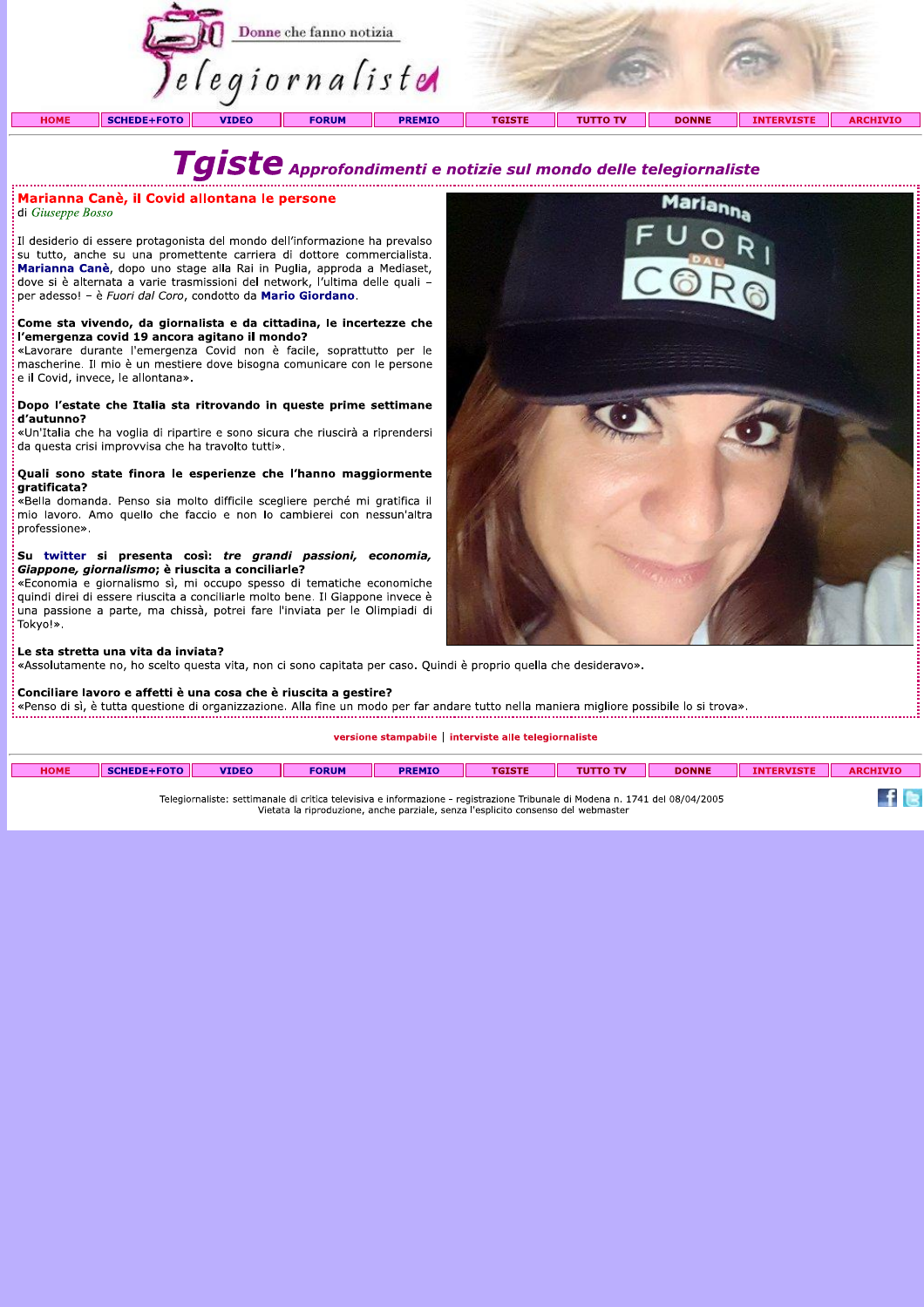

# $\boldsymbol{T}$ g $\boldsymbol{is}$ te  $\boldsymbol{a}$ pprofondimenti e notizie sul mondo delle telegiornaliste

## Marianna Canè, il Covid allontana le persone

di Giuseppe Bosso

Il desiderio di essere protagonista del mondo dell'informazione ha prevalso su tutto, anche su una promettente carriera di dottore commercialista. Marianna Canè, dopo uno stage alla Rai in Puglia, approda a Mediaset, dove si è alternata a varie trasmissioni del network, l'ultima delle quali per adesso! - è Fuori dal Coro, condotto da Mario Giordano.

## :<br>: Come sta vivendo, da giornalista e da cittadina, le incertezze che<br>: l'emergenza covid 19 ancora agitano il mondo?

«Lavorare durante l'emergenza Covid non è facile, soprattutto per le mascherine. Il mio è un mestiere dove bisogna comunicare con le persone e il Covid, invece, le allontana».

### Dopo l'estate che Italia sta ritrovando in queste prime settimane d'autunno?

«Un'Italia che ha voglia di ripartire e sono sicura che riuscirà a riprendersi da questa crisi improvvisa che ha travolto tutti».

### Quali sono state finora le esperienze che l'hanno maggiormente qratificata?

«Bella domanda. Penso sia molto difficile scegliere perché mi gratifica il mio lavoro. Amo quello che faccio e non lo cambierei con nessun'altra professione».

### Su twitter si presenta così: tre grandi passioni, economia, Giappone, giornalismo; è riuscita a conciliarle?

«Economia e giornalismo sì, mi occupo spesso di tematiche economiche quindi direi di essere riuscita a conciliarle molto bene. Il Giappone invece è una passione a parte, ma chissà, potrei fare l'inviata per le Olimpiadi di Tokvo!».



«Assolutamente no, ho scelto questa vita, non ci sono capitata per caso. Quindi è proprio quella che desideravo».

### Conciliare lavoro e affetti è una cosa che è riuscita a gestire?

«Penso di sì, è tutta questione di organizzazione. Alla fine un modo per far andare tutto nella maniera migliore possibile lo si trova».

### versione stampabile | interviste alle telegiornaliste

| <b>HOME</b> | <b>SCHEDE+FOTO</b> | <b>VIDEO</b> | <b>FORUM</b> | <b>PREMIO</b> | <b>TGISTE</b> | <b>TUTTO TV</b> | <b>DONNE</b> | <b>INTERVISTE</b> | <b>ARCHIVIO</b> |
|-------------|--------------------|--------------|--------------|---------------|---------------|-----------------|--------------|-------------------|-----------------|
|             |                    |              |              |               |               |                 |              |                   | _____           |

Telegiornaliste: settimanale di critica televisiva e informazione - registrazione Tribunale di Modena n. 1741 del 08/04/2005 Vietata la riproduzione, anche parziale, senza l'esplicito consenso del webmaster



 $\pm$  6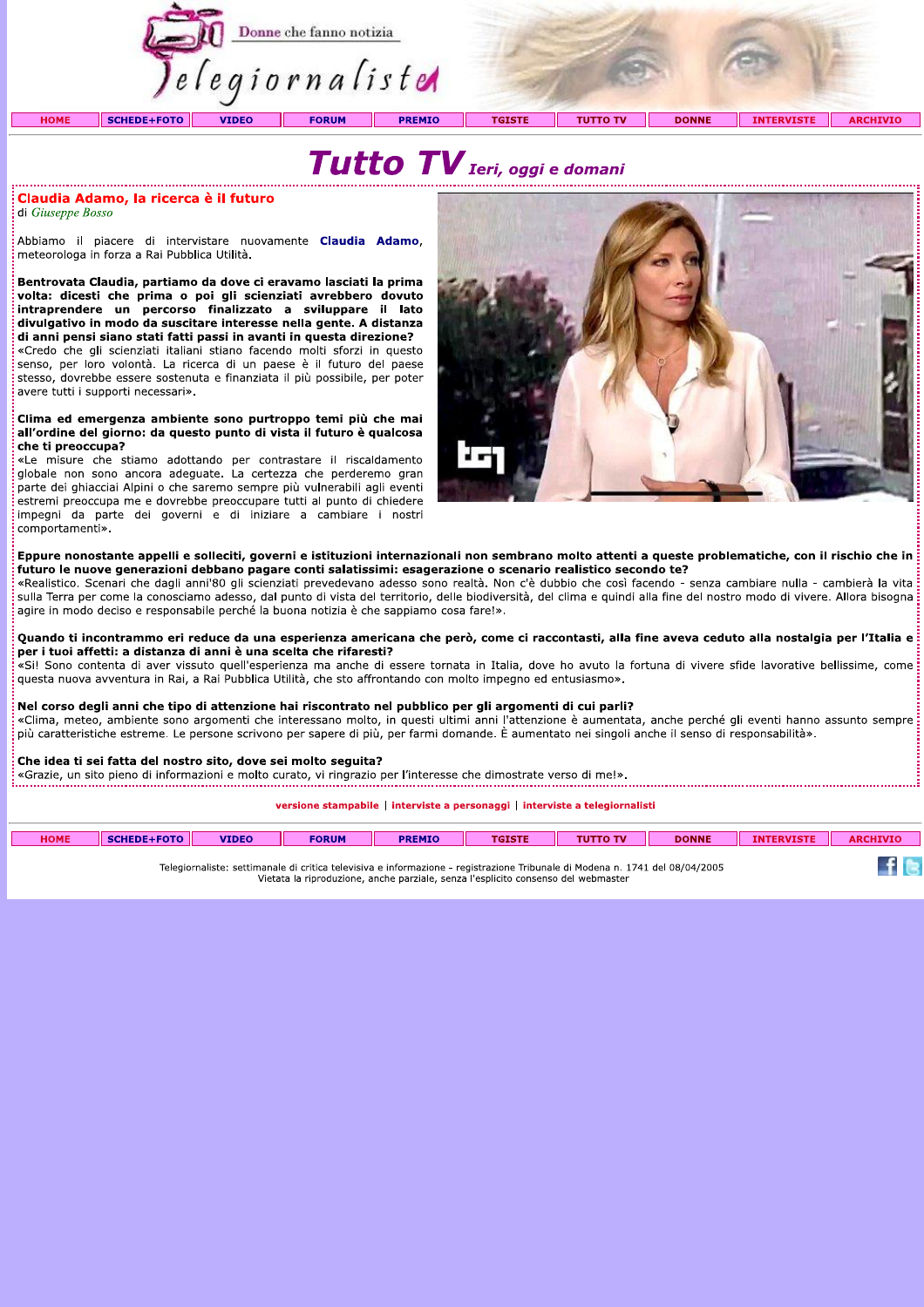

# Tutto TV Ieri, oggi e domani

### Claudia Adamo, la ricerca è il futuro

di Giuseppe Bosso

Abbiamo il piacere di intervistare nuovamente Claudia Adamo. meteorologa in forza a Rai Pubblica Utilità.

Bentrovata Claudia, partiamo da dove ci eravamo lasciati la prima volta: dicesti che prima o poi gli scienziati avrebbero dovuto intraprendere un percorso finalizzato a sviluppare il lato divulgativo in modo da suscitare interesse nella gente. A distanza di anni pensi siano stati fatti passi in avanti in questa direzione?

«Credo che gli scienziati italiani stiano facendo molti sforzi in questo senso, per loro volontà. La ricerca di un paese è il futuro del paese stesso, dovrebbe essere sostenuta e finanziata il più possibile, per poter avere tutti i supporti necessari».

#### Clima ed emergenza ambiente sono purtroppo temi più che mai all'ordine del giorno: da questo punto di vista il futuro è qualcosa che ti preoccupa?

«Le misure che stiamo adottando per contrastare il riscaldamento globale non sono ancora adeguate. La certezza che perderemo gran parte dei ghiacciai Alpini o che saremo sempre più vulnerabili agli eventi estremi preoccupa me e dovrebbe preoccupare tutti al punto di chiedere impegni da parte dei governi e di iniziare a cambiare i nostri comportamenti».



### Eppure nonostante appelli e solleciti, governi e istituzioni internazionali non sembrano molto attenti a queste problematiche, con il rischio che in futuro le nuove generazioni debbano pagare conti salatissimi: esagerazione o scenario realistico secondo te?

«Realistico. Scenari che dagli anni'80 gli scienziati prevedevano adesso sono realtà. Non c'è dubbio che così facendo - senza cambiare nulla - cambierà la vita sulla Terra per come la conosciamo adesso, dal punto di vista del territorio, delle biodiversità, del clima e quindi alla fine del nostro modo di vivere. Allora bisogna agire in modo deciso e responsabile perché la buona notizia è che sappiamo cosa fare!».

Quando ti incontrammo eri reduce da una esperienza americana che però, come ci raccontasti, alla fine aveva ceduto alla nostalgia per l'Italia e per i tuoi affetti: a distanza di anni è una scelta che rifaresti?

«Si! Sono contenta di aver vissuto quell'esperienza ma anche di essere tornata in Italia, dove ho avuto la fortuna di vivere sfide lavorative bellissime, come questa nuova avventura in Rai, a Rai Pubblica Utilità, che sto affrontando con molto impegno ed entusiasmo».

### Nel corso degli anni che tipo di attenzione hai riscontrato nel pubblico per gli argomenti di cui parli?

«Clima, meteo, ambiente sono argomenti che interessano molto, in questi ultimi anni l'attenzione è aumentata, anche perché gli eventi hanno assunto sempre più caratteristiche estreme. Le persone scrivono per sapere di più, per farmi domande. È aumentato nei singoli anche il senso di responsabilità».

### Che idea ti sei fatta del nostro sito, dove sei molto seguita?

«Grazie, un sito pieno di informazioni e molto curato, vi ringrazio per l'interesse che dimostrate verso di me!».

versione stampabile | interviste a personaggi | interviste a telegiornalisti

| <b>HOME</b>                                                                                                                  | SCHEDE+FOTO | <b>VIDEO</b> | <b>FORUM</b> | <b>PREMIO</b> | <b>TGISTE</b> | <b>TUTTO TV</b> | <b>DONNE</b> | <b>INTERVISTE</b> | <b>ARCHIVIO</b> |
|------------------------------------------------------------------------------------------------------------------------------|-------------|--------------|--------------|---------------|---------------|-----------------|--------------|-------------------|-----------------|
| Telegiornaliste: settimanale di critica televisiva e informazione - registrazione Tribunale di Modena n. 1741 del 08/04/2005 |             |              |              |               |               |                 |              |                   |                 |

Vietata la riproduzione, anche parziale, senza l'esplicito consenso del webmaster